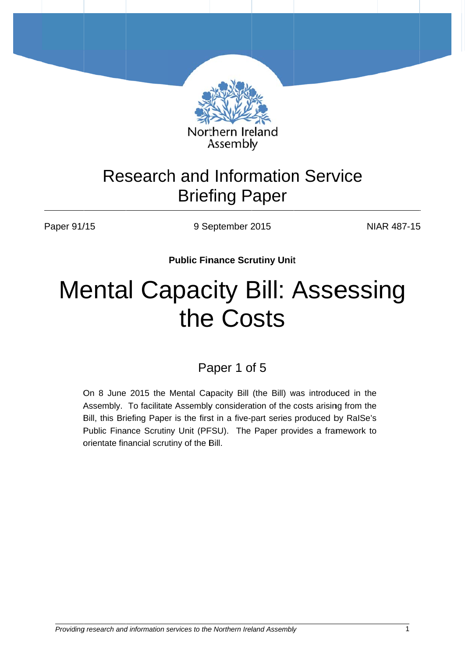

# **Research and Information Service Briefing Paper**

Paper 91/15

9 September 2015

**NIAR 487-15** 

**Public Finance Scrutiny Unit** 

# **Mental Capacity Bill: Assessing** the Costs

# Paper 1 of 5

On 8 June 2015 the Mental Capacity Bill (the Bill) was introduced in the Assembly. To facilitate Assembly consideration of the costs arising from the Bill, this Briefing Paper is the first in a five-part series produced by RalSe's Public Finance Scrutiny Unit (PFSU). The Paper provides a framework to orientate financial scrutiny of the Bill.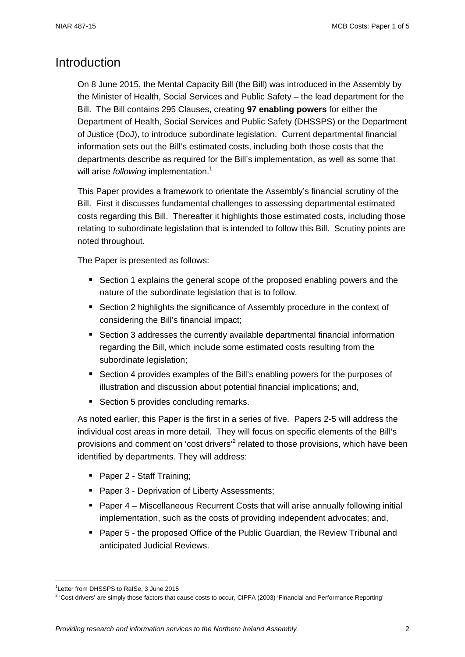# **Introduction**

On 8 June 2015, the Mental Capacity Bill (the Bill) was introduced in the Assembly by the Minister of Health, Social Services and Public Safety – the lead department for the Bill. The Bill contains 295 Clauses, creating **97 enabling powers** for either the Department of Health, Social Services and Public Safety (DHSSPS) or the Department of Justice (DoJ), to introduce subordinate legislation. Current departmental financial information sets out the Bill's estimated costs, including both those costs that the departments describe as required for the Bill's implementation, as well as some that will arise *following* implementation.<sup>1</sup>

This Paper provides a framework to orientate the Assembly's financial scrutiny of the Bill. First it discusses fundamental challenges to assessing departmental estimated costs regarding this Bill. Thereafter it highlights those estimated costs, including those relating to subordinate legislation that is intended to follow this Bill. Scrutiny points are noted throughout.

The Paper is presented as follows:

- Section 1 explains the general scope of the proposed enabling powers and the nature of the subordinate legislation that is to follow.
- Section 2 highlights the significance of Assembly procedure in the context of considering the Bill's financial impact;
- Section 3 addresses the currently available departmental financial information regarding the Bill, which include some estimated costs resulting from the subordinate legislation;
- Section 4 provides examples of the Bill's enabling powers for the purposes of illustration and discussion about potential financial implications; and,
- Section 5 provides concluding remarks.

As noted earlier, this Paper is the first in a series of five. Papers 2-5 will address the individual cost areas in more detail. They will focus on specific elements of the Bill's provisions and comment on 'cost drivers'<sup>2</sup> related to those provisions, which have been identified by departments. They will address:

- Paper 2 Staff Training;
- Paper 3 Deprivation of Liberty Assessments;
- **Paper 4 Miscellaneous Recurrent Costs that will arise annually following initial** implementation, such as the costs of providing independent advocates; and,
- Paper 5 the proposed Office of the Public Guardian, the Review Tribunal and anticipated Judicial Reviews.

<sup>1</sup> Letter from DHSSPS to RaISe, 3 June 2015

 $2$  'Cost drivers' are simply those factors that cause costs to occur, CIPFA (2003) 'Financial and Performance Reporting'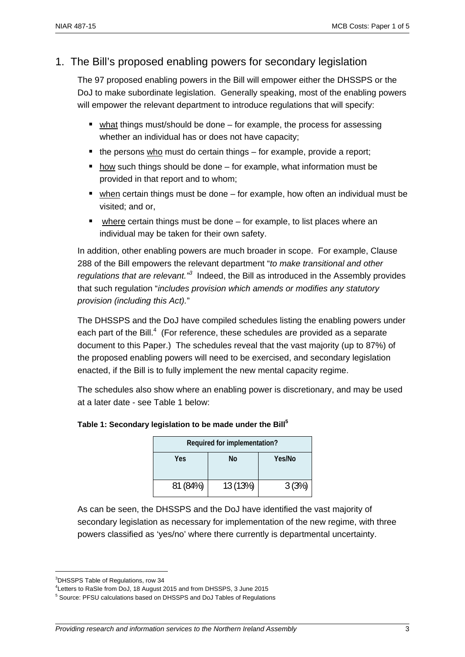# 1. The Bill's proposed enabling powers for secondary legislation

The 97 proposed enabling powers in the Bill will empower either the DHSSPS or the DoJ to make subordinate legislation. Generally speaking, most of the enabling powers will empower the relevant department to introduce regulations that will specify:

- $\blacksquare$  what things must/should be done for example, the process for assessing whether an individual has or does not have capacity;
- $\blacksquare$  the persons who must do certain things for example, provide a report;
- $\blacksquare$  how such things should be done for example, what information must be provided in that report and to whom;
- when certain things must be done for example, how often an individual must be visited; and or,
- $\blacksquare$  where certain things must be done for example, to list places where an individual may be taken for their own safety.

In addition, other enabling powers are much broader in scope. For example, Clause 288 of the Bill empowers the relevant department "*to make transitional and other*  regulations that are relevant.<sup>33</sup> Indeed, the Bill as introduced in the Assembly provides that such regulation "*includes provision which amends or modifies any statutory provision (including this Act).*"

The DHSSPS and the DoJ have compiled schedules listing the enabling powers under each part of the Bill. $4$  (For reference, these schedules are provided as a separate document to this Paper.) The schedules reveal that the vast majority (up to 87%) of the proposed enabling powers will need to be exercised, and secondary legislation enacted, if the Bill is to fully implement the new mental capacity regime.

The schedules also show where an enabling power is discretionary, and may be used at a later date - see Table 1 below:

# **Table 1: Secondary legislation to be made under the Bill<sup>5</sup>**

| Required for implementation? |          |        |  |  |
|------------------------------|----------|--------|--|--|
| Yes                          | No       | Yes/No |  |  |
| 81 (84%)                     | 13 (13%) | 3(3%)  |  |  |

As can be seen, the DHSSPS and the DoJ have identified the vast majority of secondary legislation as necessary for implementation of the new regime, with three powers classified as 'yes/no' where there currently is departmental uncertainty.

<sup>&</sup>lt;sup>3</sup>DHSSPS Table of Regulations, row 34

<sup>4</sup> Letters to RaSIe from DoJ, 18 August 2015 and from DHSSPS, 3 June 2015

<sup>&</sup>lt;sup>5</sup> Source: PFSU calculations based on DHSSPS and DoJ Tables of Regulations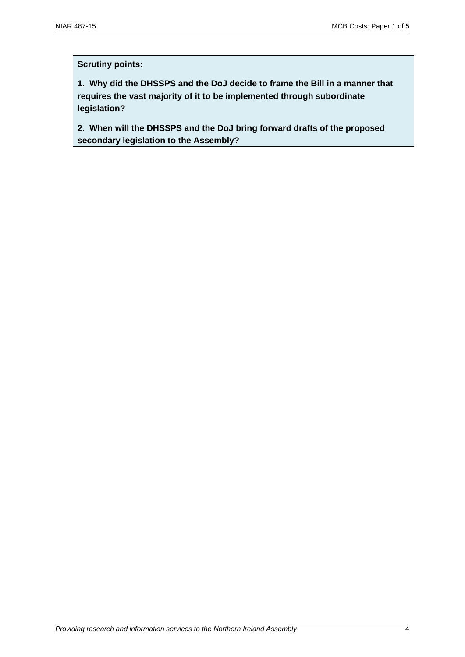#### **Scrutiny points:**

**1. Why did the DHSSPS and the DoJ decide to frame the Bill in a manner that requires the vast majority of it to be implemented through subordinate legislation?** 

**2. When will the DHSSPS and the DoJ bring forward drafts of the proposed secondary legislation to the Assembly?**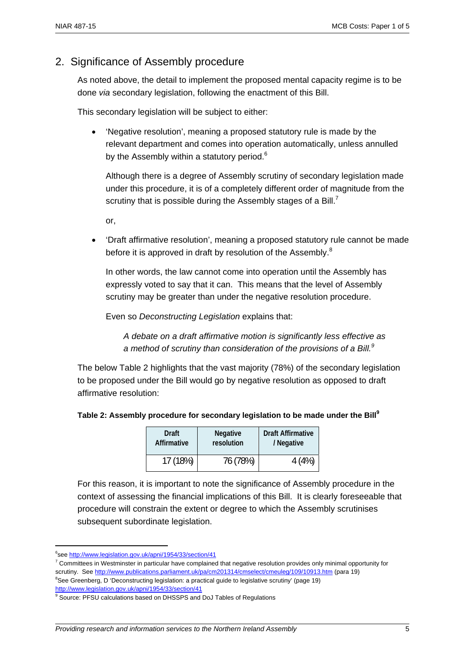# 2. Significance of Assembly procedure

As noted above, the detail to implement the proposed mental capacity regime is to be done *via* secondary legislation, following the enactment of this Bill.

This secondary legislation will be subject to either:

• 'Negative resolution', meaning a proposed statutory rule is made by the relevant department and comes into operation automatically, unless annulled by the Assembly within a statutory period.<sup>6</sup>

Although there is a degree of Assembly scrutiny of secondary legislation made under this procedure, it is of a completely different order of magnitude from the scrutiny that is possible during the Assembly stages of a Bill.<sup>7</sup>

or,

• 'Draft affirmative resolution', meaning a proposed statutory rule cannot be made before it is approved in draft by resolution of the Assembly. $8$ 

In other words, the law cannot come into operation until the Assembly has expressly voted to say that it can. This means that the level of Assembly scrutiny may be greater than under the negative resolution procedure.

Even so *Deconstructing Legislation* explains that:

*A debate on a draft affirmative motion is significantly less effective as a method of scrutiny than consideration of the provisions of a Bill.<sup>9</sup>*

The below Table 2 highlights that the vast majority (78%) of the secondary legislation to be proposed under the Bill would go by negative resolution as opposed to draft affirmative resolution:

| <b>Draft</b> | <b>Negative</b> | <b>Draft Affirmative</b> |  |
|--------------|-----------------|--------------------------|--|
| Affirmative  | resolution      | / Negative               |  |
| 17 (18%)     | 76 (78%)        | 4(4%)                    |  |

For this reason, it is important to note the significance of Assembly procedure in the context of assessing the financial implications of this Bill. It is clearly foreseeable that procedure will constrain the extent or degree to which the Assembly scrutinises subsequent subordinate legislation.

<sup>&</sup>lt;sup>6</sup>see http://www.legislation.gov.uk/apni/1954/33/section/41

<sup>&</sup>lt;sup>7</sup> Committees in Westminster in particular have complained that negative resolution provides only minimal opportunity for scrutiny. See http://www.publications.parliament.uk/pa/cm201314/cmselect/cmeuleg/109/10913.htm (para 19)

<sup>&</sup>lt;sup>8</sup>See Greenberg, D 'Deconstructing legislation: a practical guide to legislative scrutiny' (page 19) http://www.legislation.gov.uk/apni/1954/33/section/41

<sup>&</sup>lt;sup>9</sup> Source: PFSU calculations based on DHSSPS and DoJ Tables of Regulations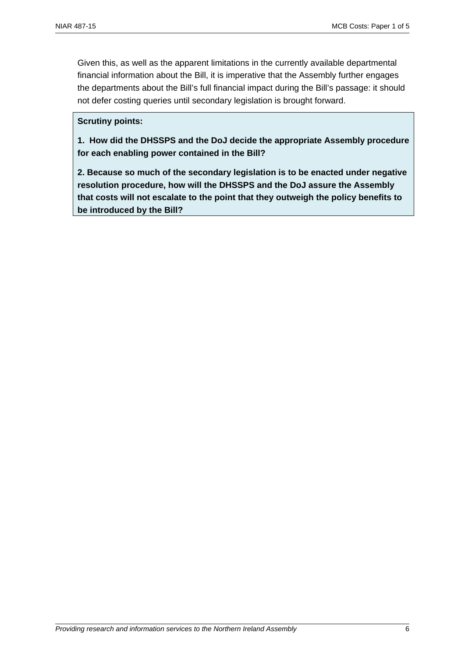Given this, as well as the apparent limitations in the currently available departmental financial information about the Bill, it is imperative that the Assembly further engages the departments about the Bill's full financial impact during the Bill's passage: it should not defer costing queries until secondary legislation is brought forward.

#### **Scrutiny points:**

**1. How did the DHSSPS and the DoJ decide the appropriate Assembly procedure for each enabling power contained in the Bill?** 

**2. Because so much of the secondary legislation is to be enacted under negative resolution procedure, how will the DHSSPS and the DoJ assure the Assembly that costs will not escalate to the point that they outweigh the policy benefits to be introduced by the Bill?**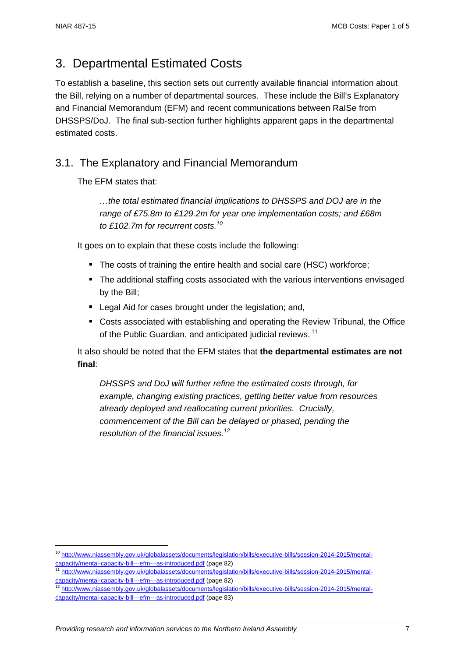1

# 3. Departmental Estimated Costs

To establish a baseline, this section sets out currently available financial information about the Bill, relying on a number of departmental sources. These include the Bill's Explanatory and Financial Memorandum (EFM) and recent communications between RaISe from DHSSPS/DoJ. The final sub-section further highlights apparent gaps in the departmental estimated costs.

# 3.1. The Explanatory and Financial Memorandum

The EFM states that:

*…the total estimated financial implications to DHSSPS and DOJ are in the range of £75.8m to £129.2m for year one implementation costs; and £68m to £102.7m for recurrent costs.10*

It goes on to explain that these costs include the following:

- The costs of training the entire health and social care (HSC) workforce;
- The additional staffing costs associated with the various interventions envisaged by the Bill;
- **E** Legal Aid for cases brought under the legislation; and,
- Costs associated with establishing and operating the Review Tribunal, the Office of the Public Guardian, and anticipated judicial reviews.<sup>11</sup>

It also should be noted that the EFM states that **the departmental estimates are not final**:

*DHSSPS and DoJ will further refine the estimated costs through, for example, changing existing practices, getting better value from resources already deployed and reallocating current priorities. Crucially, commencement of the Bill can be delayed or phased, pending the resolution of the financial issues.12*

<sup>&</sup>lt;sup>10</sup> http://www.niassembly.gov.uk/globalassets/documents/legislation/bills/executive-bills/session-2014-2015/mental-<br>capacity/mental-capacity-bill---efm---as-introduced.pdf (page 82)

capacity/mental-capacity-bill---efm---as-introduced.pdf (page 82) 11 http://www.niassembly.gov.uk/globalassets/documents/legislation/bills/executive-bills/session-2014-2015/mental-

capacity/mental-capacity-bill---efm---as-introduced.pdf (page 82)<br><sup>12</sup> http://www.niassembly.gov.uk/globalassets/documents/legislation/bills/executive-bills/session-2014-2015/mentalcapacity/mental-capacity-bill---efm---as-introduced.pdf (page 83)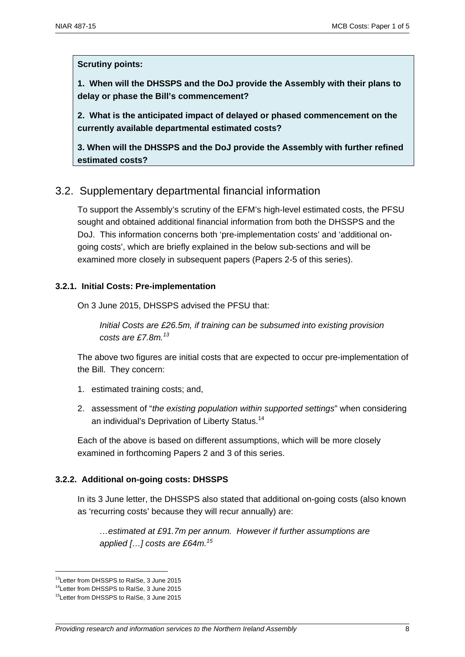#### **Scrutiny points:**

**1. When will the DHSSPS and the DoJ provide the Assembly with their plans to delay or phase the Bill's commencement?** 

**2. What is the anticipated impact of delayed or phased commencement on the currently available departmental estimated costs?** 

**3. When will the DHSSPS and the DoJ provide the Assembly with further refined estimated costs?** 

# 3.2. Supplementary departmental financial information

To support the Assembly's scrutiny of the EFM's high-level estimated costs, the PFSU sought and obtained additional financial information from both the DHSSPS and the DoJ. This information concerns both 'pre-implementation costs' and 'additional ongoing costs', which are briefly explained in the below sub-sections and will be examined more closely in subsequent papers (Papers 2-5 of this series).

#### **3.2.1. Initial Costs: Pre-implementation**

On 3 June 2015, DHSSPS advised the PFSU that:

*Initial Costs are £26.5m, if training can be subsumed into existing provision costs are £7.8m.13* 

The above two figures are initial costs that are expected to occur pre-implementation of the Bill. They concern:

- 1. estimated training costs; and,
- 2. assessment of "*the existing population within supported settings*" when considering an individual's Deprivation of Liberty Status.<sup>14</sup>

Each of the above is based on different assumptions, which will be more closely examined in forthcoming Papers 2 and 3 of this series.

# **3.2.2. Additional on-going costs: DHSSPS**

In its 3 June letter, the DHSSPS also stated that additional on-going costs (also known as 'recurring costs' because they will recur annually) are:

*…estimated at £91.7m per annum. However if further assumptions are applied […] costs are £64m.<sup>15</sup>*

<sup>&</sup>lt;sup>13</sup>Letter from DHSSPS to RaISe, 3 June 2015

<sup>14</sup>Letter from DHSSPS to RaISe, 3 June 2015

<sup>&</sup>lt;sup>15</sup>Letter from DHSSPS to RaISe, 3 June 2015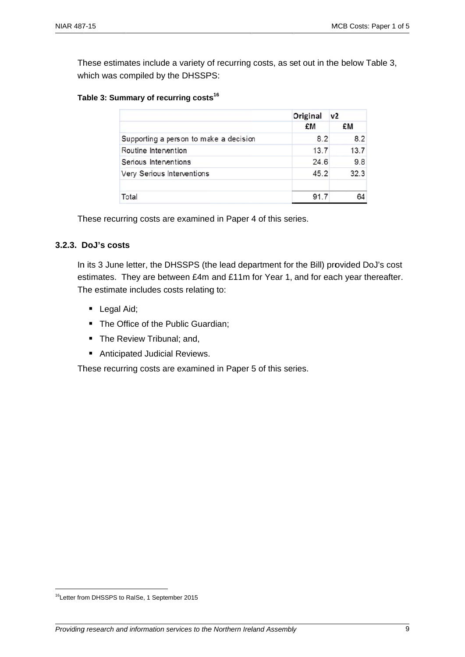These estimates include a variety of recurring costs, as set out in the below Table 3, which was compiled by the DHSSPS:

#### Table 3: Summary of recurring costs<sup>16</sup>

|                                        | Original<br>£M | v <sub>2</sub><br>£M |
|----------------------------------------|----------------|----------------------|
|                                        |                |                      |
| Supporting a person to make a decision | 8.2            | 8.2                  |
| Routine Intervention                   | 13.7           | 13.7                 |
| Serious Interventions                  | 24.6           | 9.8                  |
| Very Serious Interventions             | 45.2           | 32.3                 |
| Total                                  | 91.7           |                      |

These recurring costs are examined in Paper 4 of this series.

#### 3.2.3. DoJ's costs

In its 3 June letter, the DHSSPS (the lead department for the Bill) provided DoJ's cost estimates. They are between £4m and £11m for Year 1, and for each year thereafter. The estimate includes costs relating to:

- Legal Aid;
- The Office of the Public Guardian;
- The Review Tribunal; and,
- Anticipated Judicial Reviews.

These recurring costs are examined in Paper 5 of this series.

<sup>&</sup>lt;sup>16</sup>Letter from DHSSPS to RaISe, 1 September 2015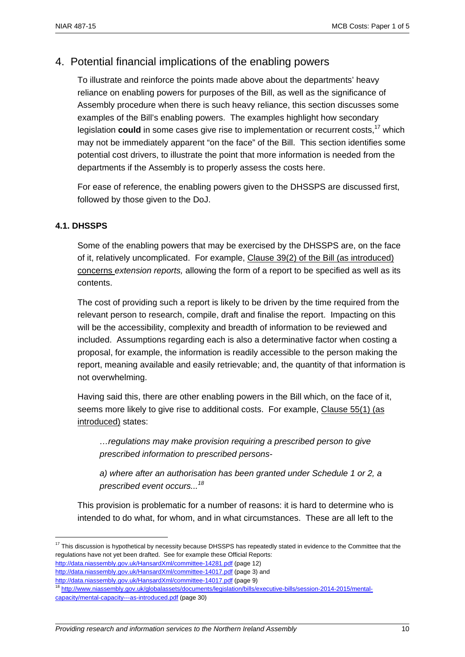# 4. Potential financial implications of the enabling powers

To illustrate and reinforce the points made above about the departments' heavy reliance on enabling powers for purposes of the Bill, as well as the significance of Assembly procedure when there is such heavy reliance, this section discusses some examples of the Bill's enabling powers. The examples highlight how secondary legislation **could** in some cases give rise to implementation or recurrent costs,<sup>17</sup> which may not be immediately apparent "on the face" of the Bill. This section identifies some potential cost drivers, to illustrate the point that more information is needed from the departments if the Assembly is to properly assess the costs here.

For ease of reference, the enabling powers given to the DHSSPS are discussed first, followed by those given to the DoJ.

#### **4.1. DHSSPS**

<u>.</u>

Some of the enabling powers that may be exercised by the DHSSPS are, on the face of it, relatively uncomplicated. For example, Clause 39(2) of the Bill (as introduced) concerns *extension reports,* allowing the form of a report to be specified as well as its contents.

The cost of providing such a report is likely to be driven by the time required from the relevant person to research, compile, draft and finalise the report. Impacting on this will be the accessibility, complexity and breadth of information to be reviewed and included. Assumptions regarding each is also a determinative factor when costing a proposal, for example, the information is readily accessible to the person making the report, meaning available and easily retrievable; and, the quantity of that information is not overwhelming.

Having said this, there are other enabling powers in the Bill which, on the face of it, seems more likely to give rise to additional costs. For example, Clause 55(1) (as introduced) states:

*…regulations may make provision requiring a prescribed person to give prescribed information to prescribed persons-*

*a) where after an authorisation has been granted under Schedule 1 or 2, a prescribed event occurs...<sup>18</sup>*

This provision is problematic for a number of reasons: it is hard to determine who is intended to do what, for whom, and in what circumstances. These are all left to the

http://data.niassembly.gov.uk/HansardXml/committee-14281.pdf (page 12) http://data.niassembly.gov.uk/HansardXml/committee-14017.pdf (page 3) and

<sup>&</sup>lt;sup>17</sup> This discussion is hypothetical by necessity because DHSSPS has repeatedly stated in evidence to the Committee that the regulations have not yet been drafted. See for example these Official Reports:

http://data.niassembly.gov.uk/HansardXml/committee-14017.pdf (page 9)<br><sup>18</sup> http://www.niassembly.gov.uk/globalassets/documents/legislation/bills/executive-bills/session-2014-2015/mentalcapacity/mental-capacity---as-introduced.pdf (page 30)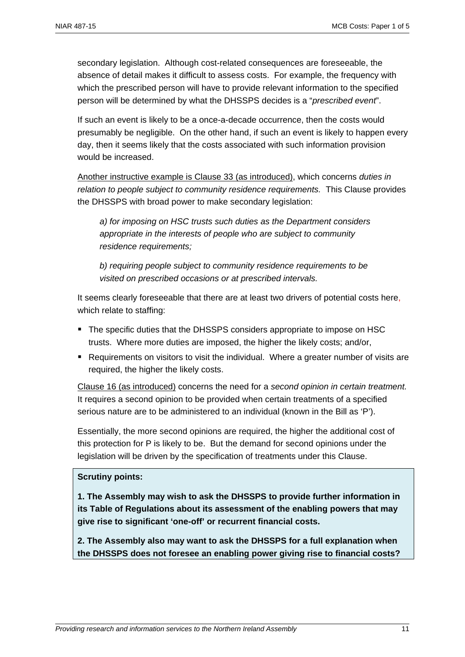secondary legislation. Although cost-related consequences are foreseeable, the absence of detail makes it difficult to assess costs. For example, the frequency with which the prescribed person will have to provide relevant information to the specified person will be determined by what the DHSSPS decides is a "*prescribed event*".

If such an event is likely to be a once-a-decade occurrence, then the costs would presumably be negligible. On the other hand, if such an event is likely to happen every day, then it seems likely that the costs associated with such information provision would be increased.

Another instructive example is Clause 33 (as introduced), which concerns *duties in relation to people subject to community residence requirements.* This Clause provides the DHSSPS with broad power to make secondary legislation:

*a) for imposing on HSC trusts such duties as the Department considers appropriate in the interests of people who are subject to community residence requirements;* 

*b) requiring people subject to community residence requirements to be visited on prescribed occasions or at prescribed intervals.* 

It seems clearly foreseeable that there are at least two drivers of potential costs here, which relate to staffing:

- The specific duties that the DHSSPS considers appropriate to impose on HSC trusts. Where more duties are imposed, the higher the likely costs; and/or,
- Requirements on visitors to visit the individual. Where a greater number of visits are required, the higher the likely costs.

Clause 16 (as introduced) concerns the need for a *second opinion in certain treatment.*  It requires a second opinion to be provided when certain treatments of a specified serious nature are to be administered to an individual (known in the Bill as 'P').

Essentially, the more second opinions are required, the higher the additional cost of this protection for P is likely to be. But the demand for second opinions under the legislation will be driven by the specification of treatments under this Clause.

#### **Scrutiny points:**

**1. The Assembly may wish to ask the DHSSPS to provide further information in its Table of Regulations about its assessment of the enabling powers that may give rise to significant 'one-off' or recurrent financial costs.** 

**2. The Assembly also may want to ask the DHSSPS for a full explanation when the DHSSPS does not foresee an enabling power giving rise to financial costs?**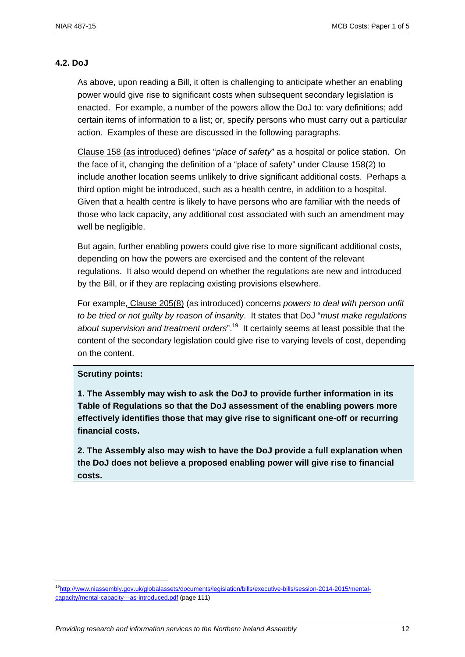# **4.2. DoJ**

As above, upon reading a Bill, it often is challenging to anticipate whether an enabling power would give rise to significant costs when subsequent secondary legislation is enacted. For example, a number of the powers allow the DoJ to: vary definitions; add certain items of information to a list; or, specify persons who must carry out a particular action. Examples of these are discussed in the following paragraphs.

Clause 158 (as introduced) defines "*place of safety*" as a hospital or police station. On the face of it, changing the definition of a "place of safety" under Clause 158(2) to include another location seems unlikely to drive significant additional costs. Perhaps a third option might be introduced, such as a health centre, in addition to a hospital. Given that a health centre is likely to have persons who are familiar with the needs of those who lack capacity, any additional cost associated with such an amendment may well be negligible.

But again, further enabling powers could give rise to more significant additional costs, depending on how the powers are exercised and the content of the relevant regulations. It also would depend on whether the regulations are new and introduced by the Bill, or if they are replacing existing provisions elsewhere.

For example, Clause 205(8) (as introduced) concerns *powers to deal with person unfit to be tried or not guilty by reason of insanity*. It states that DoJ "*must make regulations about supervision and treatment orders*".19 It certainly seems at least possible that the content of the secondary legislation could give rise to varying levels of cost, depending on the content.

# **Scrutiny points:**

1

**1. The Assembly may wish to ask the DoJ to provide further information in its Table of Regulations so that the DoJ assessment of the enabling powers more effectively identifies those that may give rise to significant one-off or recurring financial costs.** 

**2. The Assembly also may wish to have the DoJ provide a full explanation when the DoJ does not believe a proposed enabling power will give rise to financial costs.** 

<sup>19</sup>http://www.niassembly.gov.uk/globalassets/documents/legislation/bills/executive-bills/session-2014-2015/mentalcapacity/mental-capacity---as-introduced.pdf (page 111)